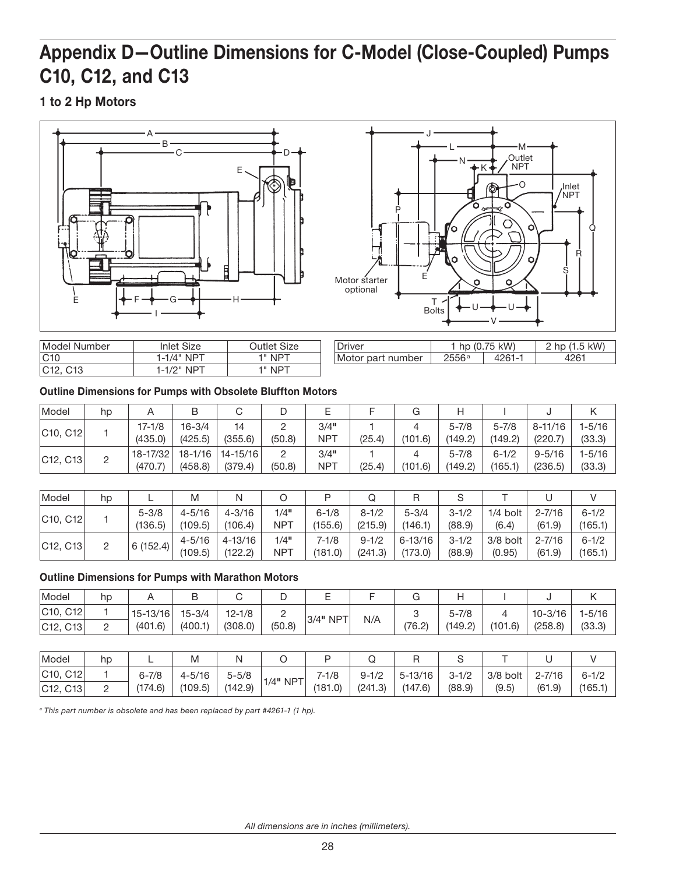## Appendix D—Outline Dimensions for C-Model (Close-Coupled) Pumps C10, C12, and C13

1 to 2 Hp Motors



| Model Number                      | Inlet Size    | Outlet Size |  |  |
|-----------------------------------|---------------|-------------|--|--|
| C10                               | $1-1/4"$ NPT  | 1" NPT      |  |  |
| C <sub>12</sub> , C <sub>13</sub> | $1-1/2$ " NPT | 1" NPT      |  |  |

| ⊃river            |       | $^{\prime}$ hp (0.75 kW) | hp $(1.5$ kW) |  |  |
|-------------------|-------|--------------------------|---------------|--|--|
| Motor part number | 2556a |                          |               |  |  |

|  |  |  |  | <b>Outline Dimensions for Pumps with Obsolete Bluffton Motors</b> |
|--|--|--|--|-------------------------------------------------------------------|
|--|--|--|--|-------------------------------------------------------------------|

| Model    | hp |                     | B                     |                                 |        |                    |        |         |                      |                      |                       |                      |
|----------|----|---------------------|-----------------------|---------------------------------|--------|--------------------|--------|---------|----------------------|----------------------|-----------------------|----------------------|
| C10, C12 |    | 17-1/8<br>(435.0)   | $16 - 3/4$<br>(425.5) | 14<br>(355.6)                   | (50.8) | 3/4"<br><b>NPT</b> | (25.4) | (101.6) | $5 - 7/8$<br>(149.2) | $5 - 7/8$<br>(149.2) | 8-11/16<br>(220.7)    | $1 - 5/16$<br>(33.3) |
| C12, C13 |    | 18-17/32<br>(470.7) | (458.8)               | 18-1/16   14-15/16  <br>(379.4) | (50.8) | 3/4"<br><b>NPT</b> | (25.4) | (101.6) | $5 - 7/8$<br>(149.2) | $6 - 1/2$<br>(165.1) | $9 - 5/16$<br>(236.5) | 1-5/16<br>(33.3)     |

| Model    | hp |           | M          | N           |            |           |           |             | u         |            |            |           |
|----------|----|-----------|------------|-------------|------------|-----------|-----------|-------------|-----------|------------|------------|-----------|
| C10, C12 |    | $5 - 3/8$ | $4 - 5/16$ | $4 - 3/16$  | 1/4"       | $6 - 1/8$ | $8 - 1/2$ | $5 - 3/4$   | $3 - 1/2$ | $1/4$ bolt | $2 - 7/16$ | $6 - 1/2$ |
|          |    | (136.5)   | (109.5)    | (106.4)     | <b>NPT</b> | (155.6)   | (215.9)   | (146.1)     | (88.9)    | (6.4)      | (61.9)     | (165.1)   |
| C12, C13 |    | 6(152.4)  | $4 - 5/16$ | $4 - 13/16$ | 1/4"       | $7 - 1/8$ | $9 - 1/2$ | $6 - 13/16$ | $3 - 1/2$ | $3/8$ bolt | $2 - 7/16$ | $6 - 1/2$ |
|          |    |           | (109.5)    | (122.2)     | NPT        | (181.0)   | (241.3)   | (173.0)     | (88.9)    | (0.95)     | (61.9)     | (165.1)   |

## Outline Dimensions for Pumps with Marathon Motors

| Model                             | hp |              | D          |            |        |          |     |        |           |         |         |        |
|-----------------------------------|----|--------------|------------|------------|--------|----------|-----|--------|-----------|---------|---------|--------|
| C <sub>10</sub> , C <sub>12</sub> |    | $15 - 13/16$ | $15 - 3/4$ | $12 - 1/8$ |        |          | N/A |        | $5 - 7/8$ |         | 10-3/16 | 1-5/16 |
| C12, C13                          |    | (401.6)      | (400.1)    | (308.0)    | (50.8) | 3/4" NPT |     | (76.2) | (149.2)   | (101.6) | (258.8) | (33.3) |

| Model                   | hp | -         | M          |           |            |           |           |             |           |            |            |           |
|-------------------------|----|-----------|------------|-----------|------------|-----------|-----------|-------------|-----------|------------|------------|-----------|
| C10,<br>C <sub>12</sub> |    | $6 - 7/8$ | $4 - 5/16$ | $5 - 5/8$ |            | $7 - 1/8$ | $9 - 1/2$ | $5 - 13/16$ | $3 - 1/2$ | $3/8$ bolt | $2 - 7/16$ | $6 - 1/2$ |
| C12, C13                |    | (174.6)   | (109.5)    | (142.9)   | $1/4"$ NPT | (181.0)   | (241.3)   | (147.6)     | (88.9)    | (9.5)      | (61.9)     | (165.1)   |

*<sup>a</sup> This part number is obsolete and has been replaced by part #4261-1 (1 hp).*

*All dimensions are in inches (millimeters).*